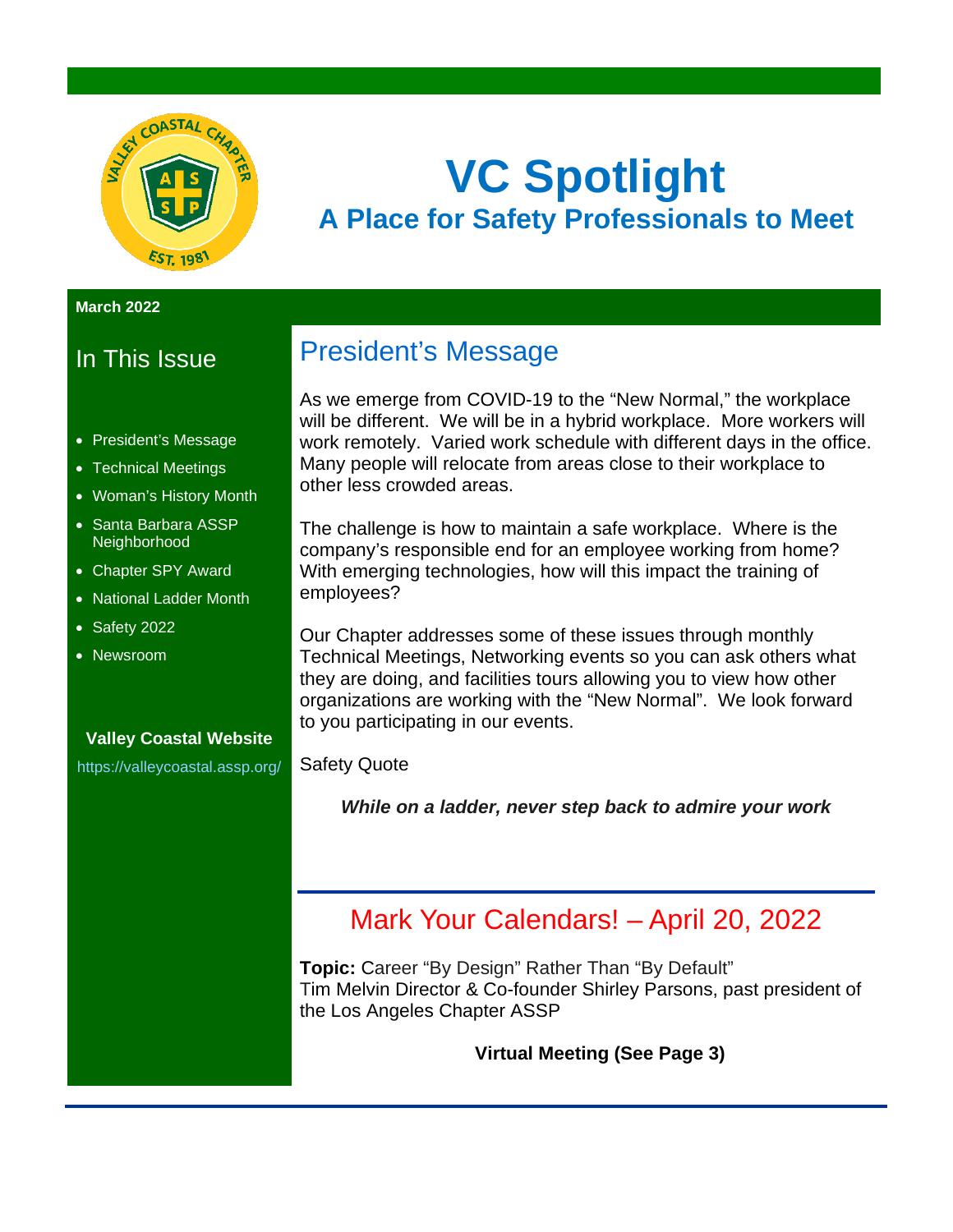

# **VC Spotlight A Place for Safety Professionals to Meet**

#### **March 2022**

### In This Issue

- President's Message
- Technical Meetings
- Woman's History Month
- Santa Barbara ASSP **Neighborhood**
- Chapter SPY Award
- National Ladder Month
- Safety 2022
- Newsroom

### **Valley Coastal Website**

<https://valleycoastal.assp.org/>

## President's Message

As we emerge from COVID-19 to the "New Normal," the workplace will be different. We will be in a hybrid workplace. More workers will work remotely. Varied work schedule with different days in the office. Many people will relocate from areas close to their workplace to other less crowded areas.

The challenge is how to maintain a safe workplace. Where is the company's responsible end for an employee working from home? With emerging technologies, how will this impact the training of employees?

Our Chapter addresses some of these issues through monthly Technical Meetings, Networking events so you can ask others what they are doing, and facilities tours allowing you to view how other organizations are working with the "New Normal". We look forward to you participating in our events.

Safety Quote

*While on a ladder, never step back to admire your work*

### Mark Your Calendars! – April 20, 2022

**Topic:** Career "By Design" Rather Than "By Default" Tim Melvin Director & Co-founder Shirley Parsons, past president of the Los Angeles Chapter ASSP

**Virtual Meeting (See Page 3)**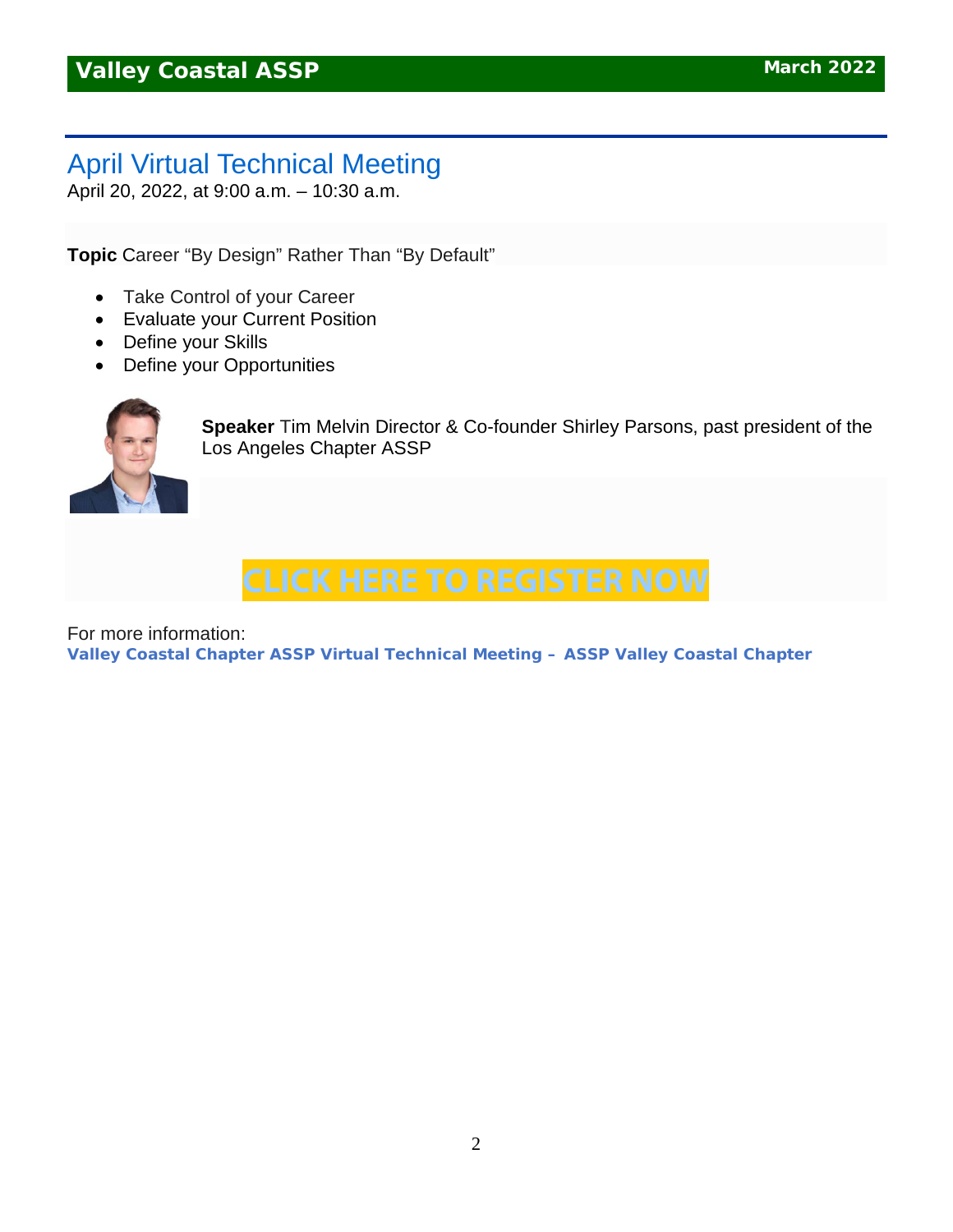## April Virtual Technical Meeting

April 20, 2022, at 9:00 a.m. – 10:30 a.m.

**Topic** Career "By Design" Rather Than "By Default"

- Take Control of your Career
- Evaluate your Current Position
- Define your Skills
- Define your Opportunities



**Speaker** Tim Melvin Director & Co-founder Shirley Parsons, past president of the Los Angeles Chapter ASSP

## **CLICK HERE TO [REGISTER](https://us02web.zoom.us/meeting/register/tZYscuCvpzwpG9L3oB6HqMBcQcfEEjoB6Df_) NOW**

For more information:

**[Valley Coastal Chapter ASSP Virtual Technical Meeting –](https://valleycoastal.assp.org/events/valley-coastal-chapter-assp-virtual-technical-meeting-9/) ASSP Valley Coastal Chapter**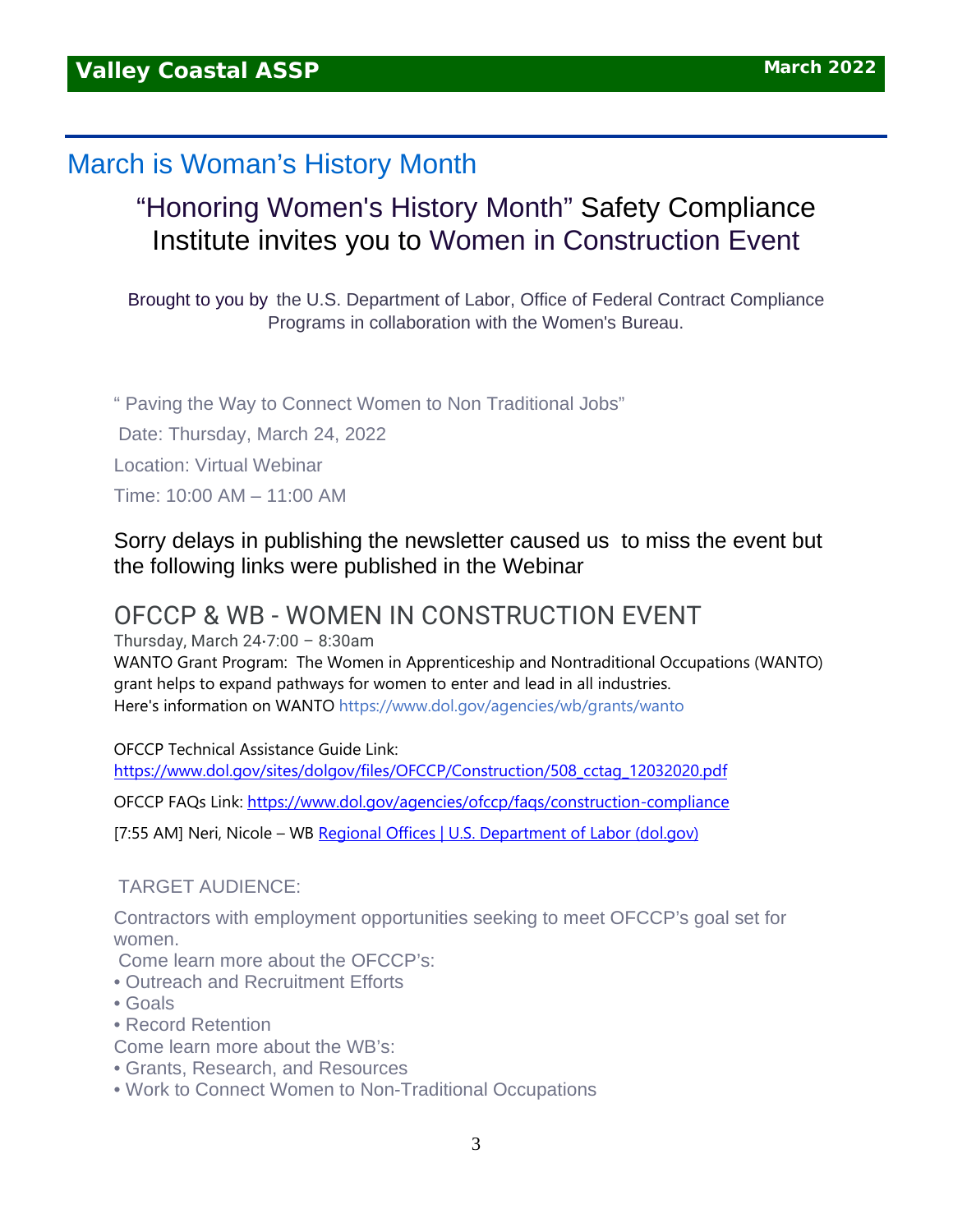### March is Woman's History Month

## "Honoring Women's History Month" Safety Compliance Institute invites you to Women in Construction Event

Brought to you by the U.S. Department of Labor, Office of Federal Contract Compliance Programs in collaboration with the Women's Bureau.

" Paving the Way to Connect Women to Non Traditional Jobs" Date: Thursday, March 24, 2022 Location: Virtual Webinar Time: 10:00 AM – 11:00 AM

### Sorry delays in publishing the newsletter caused us to miss the event but the following links were published in the Webinar

### OFCCP & WB - WOMEN IN CONSTRUCTION EVENT

Thursday, March 24⋅7:00 – 8:30am

WANTO Grant Program: The Women in Apprenticeship and Nontraditional Occupations (WANTO) grant helps to expand pathways for women to enter and lead in all industries. Here's information on WANTO <https://www.dol.gov/agencies/wb/grants/wanto>

OFCCP Technical Assistance Guide Link:

[https://www.dol.gov/sites/dolgov/files/OFCCP/Construction/508\\_cctag\\_12032020.pdf](https://www.dol.gov/sites/dolgov/files/OFCCP/Construction/508_cctag_12032020.pdf)

OFCCP FAQs Link:<https://www.dol.gov/agencies/ofccp/faqs/construction-compliance>

[7:55 AM] Neri, Nicole – WB [Regional Offices | U.S. Department of Labor \(dol.gov\)](https://www.dol.gov/agencies/wb/contact/regions#:%7E:text=Region%201%20-%20Boston%3A%20Connecticut%2C%20Maine%2C%20Massachusetts%2C%20New,District%20of%20Columbia%2C%20Maryland%2C%20Pennsylvania%2C%20Virginia%2C%20West%20Virginia)

#### TARGET AUDIENCE:

Contractors with employment opportunities seeking to meet OFCCP's goal set for women.

Come learn more about the OFCCP's:

- Outreach and Recruitment Efforts
- Goals
- Record Retention
- Come learn more about the WB's:
- Grants, Research, and Resources
- Work to Connect Women to Non-Traditional Occupations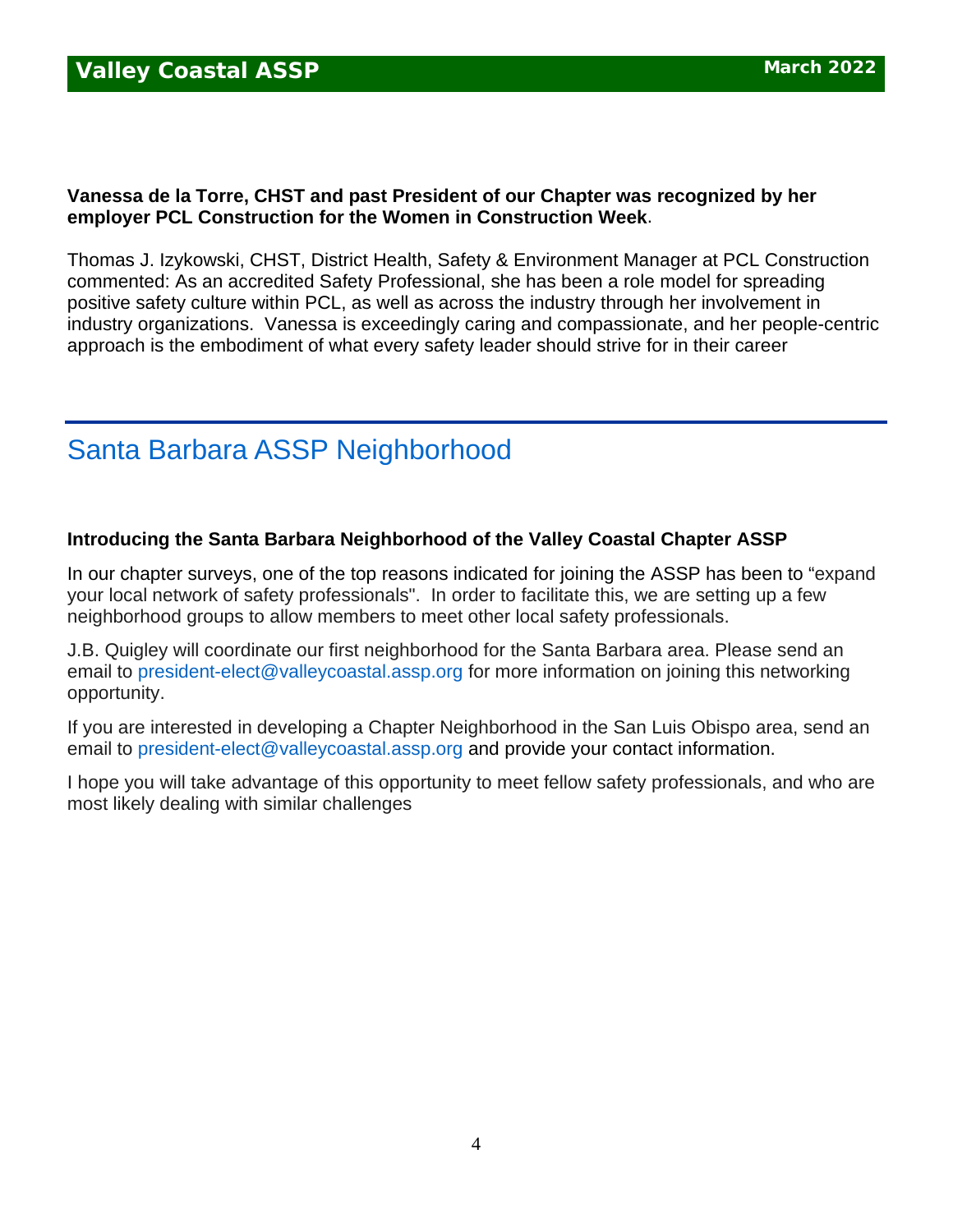### **Vanessa de la Torre, CHST and past President of our Chapter was recognized by her employer PCL Construction for the Women in Construction Week**.

Thomas J. Izykowski, CHST, District Health, Safety & Environment Manager at PCL Construction commented: As an accredited Safety Professional, she has been a role model for spreading positive safety culture within PCL, as well as across the industry through her involvement in industry organizations. Vanessa is exceedingly caring and compassionate, and her people-centric approach is the embodiment of what every safety leader should strive for in their career

## Santa Barbara ASSP Neighborhood

### **Introducing the Santa Barbara Neighborhood of the Valley Coastal Chapter ASSP**

In our chapter surveys, one of the top reasons indicated for joining the ASSP has been to "expand your local network of safety professionals". In order to facilitate this, we are setting up a few neighborhood groups to allow members to meet other local safety professionals.

J.B. Quigley will coordinate our first neighborhood for the Santa Barbara area. Please send an email to [president-elect@valleycoastal.assp.org](mailto:president-elect@valleycoastal.assp.org) for more information on joining this networking opportunity.

If you are interested in developing a Chapter Neighborhood in the San Luis Obispo area, send an email to [president-elect@valleycoastal.assp.org](mailto:president-elect@valleycoastal.assp.org) and provide your contact information.

I hope you will take advantage of this opportunity to meet fellow safety professionals, and who are most likely dealing with similar challenges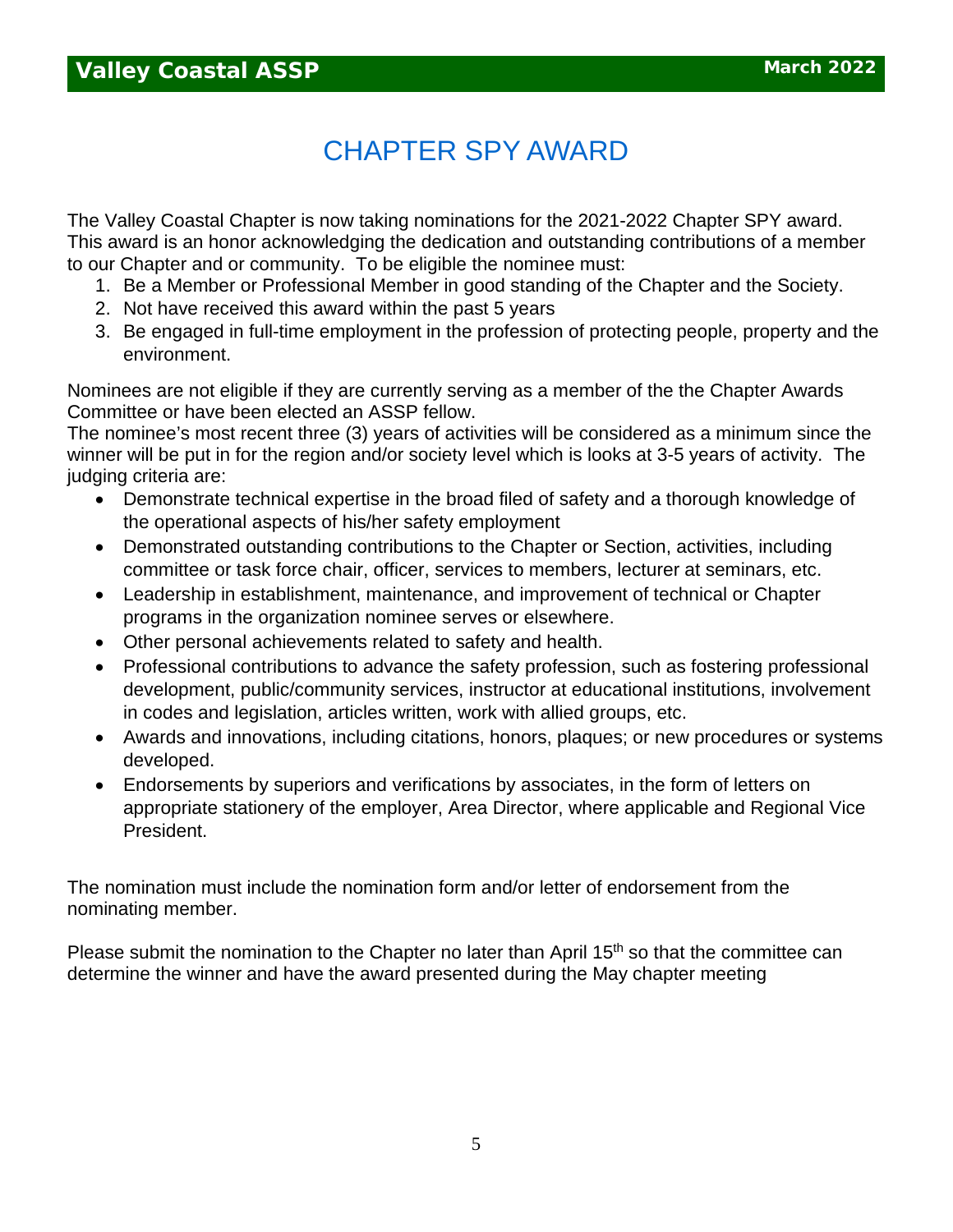## CHAPTER SPY AWARD

The Valley Coastal Chapter is now taking nominations for the 2021-2022 Chapter SPY award. This award is an honor acknowledging the dedication and outstanding contributions of a member to our Chapter and or community. To be eligible the nominee must:

- 1. Be a Member or Professional Member in good standing of the Chapter and the Society.
- 2. Not have received this award within the past 5 years
- 3. Be engaged in full-time employment in the profession of protecting people, property and the environment.

Nominees are not eligible if they are currently serving as a member of the the Chapter Awards Committee or have been elected an ASSP fellow.

The nominee's most recent three (3) years of activities will be considered as a minimum since the winner will be put in for the region and/or society level which is looks at 3-5 years of activity. The judging criteria are:

- Demonstrate technical expertise in the broad filed of safety and a thorough knowledge of the operational aspects of his/her safety employment
- Demonstrated outstanding contributions to the Chapter or Section, activities, including committee or task force chair, officer, services to members, lecturer at seminars, etc.
- Leadership in establishment, maintenance, and improvement of technical or Chapter programs in the organization nominee serves or elsewhere.
- Other personal achievements related to safety and health.
- Professional contributions to advance the safety profession, such as fostering professional development, public/community services, instructor at educational institutions, involvement in codes and legislation, articles written, work with allied groups, etc.
- Awards and innovations, including citations, honors, plaques; or new procedures or systems developed.
- Endorsements by superiors and verifications by associates, in the form of letters on appropriate stationery of the employer, Area Director, where applicable and Regional Vice President.

The nomination must include the nomination form and/or letter of endorsement from the nominating member.

Please submit the nomination to the Chapter no later than April  $15<sup>th</sup>$  so that the committee can determine the winner and have the award presented during the May chapter meeting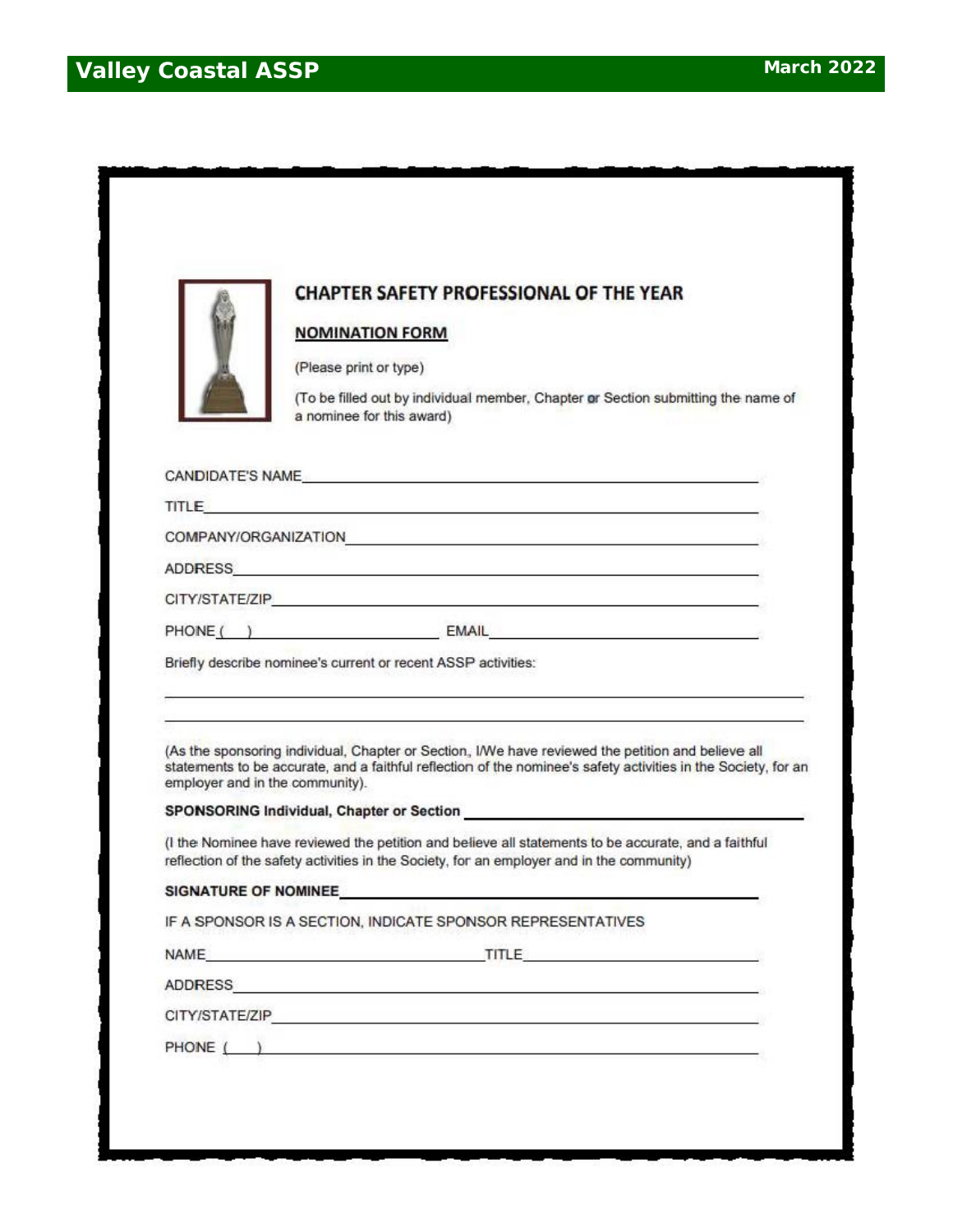

### **CHAPTER SAFETY PROFESSIONAL OF THE YEAR**

#### **NOMINATION FORM**

(Please print or type)

(To be filled out by individual member, Chapter or Section submitting the name of a nominee for this award)

| CANDIDATE'S NAME     |              |  |
|----------------------|--------------|--|
| TITLE                |              |  |
| COMPANY/ORGANIZATION |              |  |
| <b>ADDRESS</b>       |              |  |
| CITY/STATE/ZIP       |              |  |
| PHONE (              | <b>EMAIL</b> |  |

Briefly describe nominee's current or recent ASSP activities:

(As the sponsoring individual, Chapter or Section, I/We have reviewed the petition and believe all statements to be accurate, and a faithful reflection of the nominee's safety activities in the Society, for an employer and in the community).

#### **SPONSORING Individual, Chapter or Section**

(I the Nominee have reviewed the petition and believe all statements to be accurate, and a faithful reflection of the safety activities in the Society, for an employer and in the community)

#### SIGNATURE OF NOMINEE. **SIGNATURE**

IF A SPONSOR IS A SECTION, INDICATE SPONSOR REPRESENTATIVES

NAME TITLE THE TITLE THE TIME THE TIME OF THE TIME OF TIME OF THE TIME OF TIME OF THE TIME OF THE TIME OF THE

**ADDRESS** 

6

PHONE ( )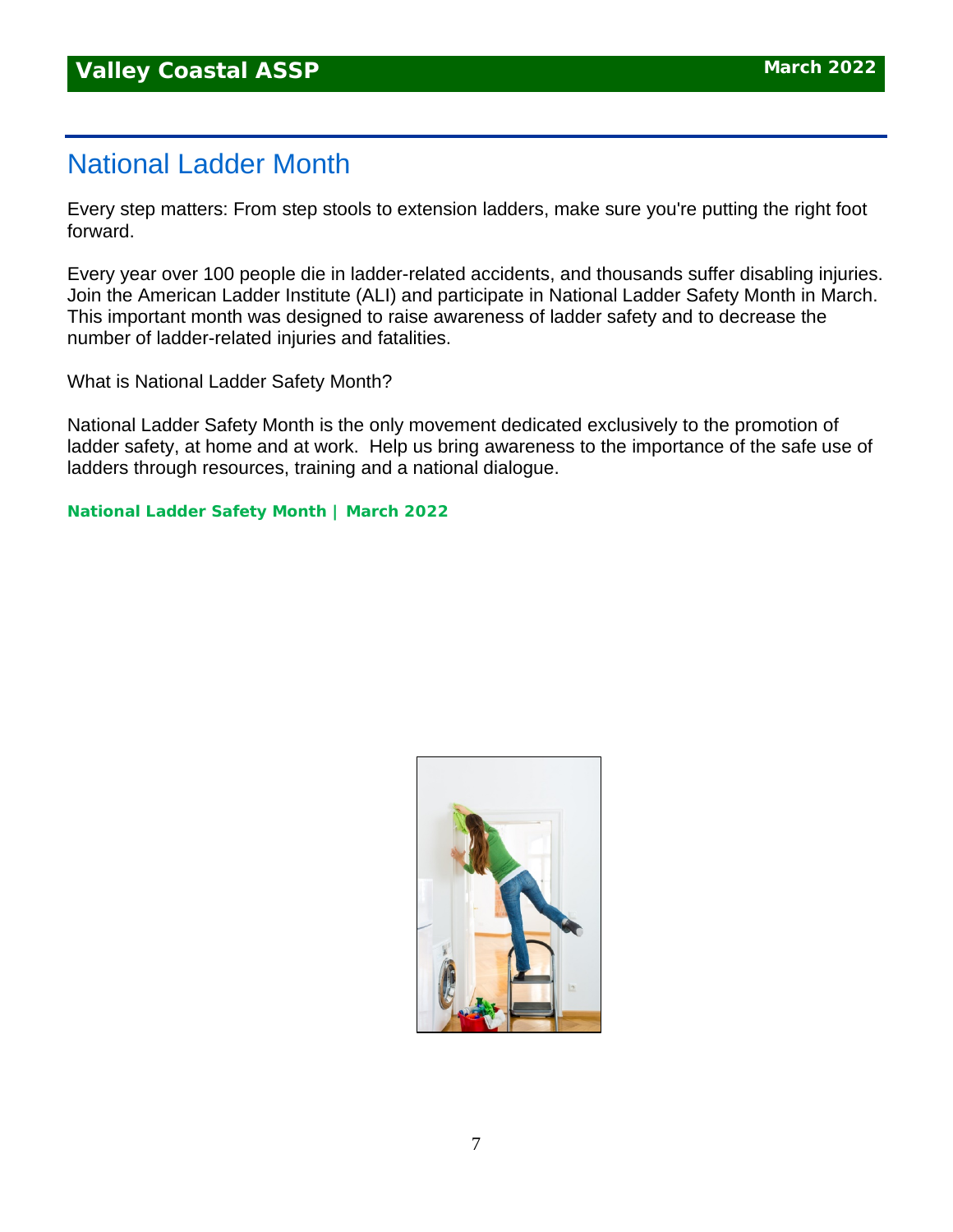## National Ladder Month

Every step matters: From step stools to extension ladders, make sure you're putting the right foot forward.

Every year over 100 people die in ladder-related accidents, and thousands suffer disabling injuries. Join the American Ladder Institute (ALI) and participate in National Ladder Safety Month in March. This important month was designed to raise awareness of ladder safety and to decrease the number of ladder-related injuries and fatalities.

What is National Ladder Safety Month?

National Ladder Safety Month is the only movement dedicated exclusively to the promotion of ladder safety, at home and at work. Help us bring awareness to the importance of the safe use of ladders through resources, training and a national dialogue.

**[National](https://www.laddersafetymonth.com/About/National-Ladder-Safety-Month) Ladder Safety Month | March 2022**

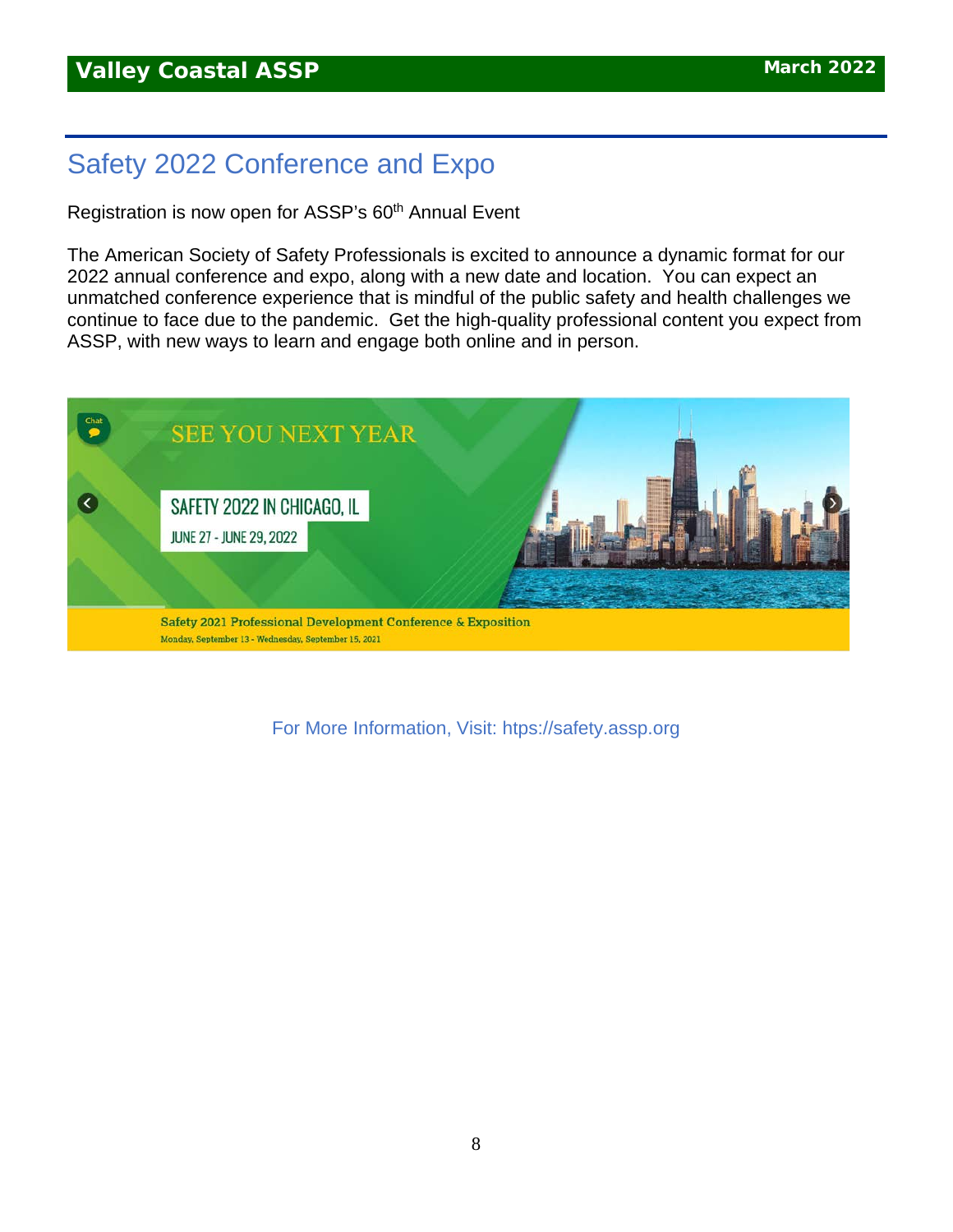## Safety 2022 Conference and Expo

Registration is now open for ASSP's 60<sup>th</sup> Annual Event

The American Society of Safety Professionals is excited to announce a dynamic format for our 2022 annual conference and expo, along with a new date and location. You can expect an unmatched conference experience that is mindful of the public safety and health challenges we continue to face due to the pandemic. Get the high-quality professional content you expect from ASSP, with new ways to learn and engage both online and in person.



For More Information, Visit: htps://safety.assp.org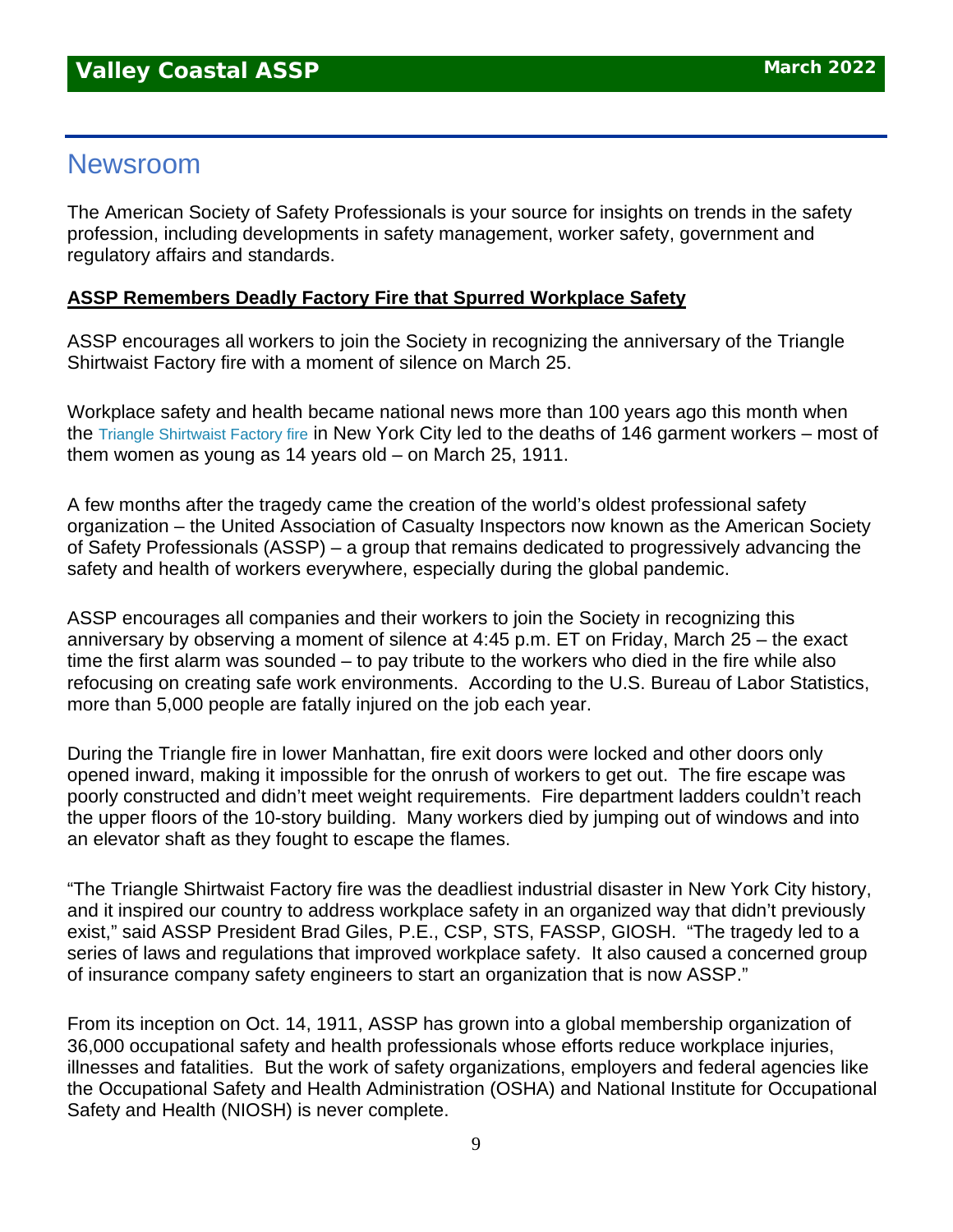### Newsroom

The American Society of Safety Professionals is your source for insights on trends in the safety profession, including developments in safety management, worker safety, government and regulatory affairs and standards.

### **ASSP Remembers Deadly Factory Fire that Spurred Workplace Safety**

ASSP encourages all workers to join the Society in recognizing the anniversary of the Triangle Shirtwaist Factory fire with a moment of silence on March 25.

Workplace safety and health became national news more than 100 years ago this month when the [Triangle Shirtwaist Factory fire](https://www.assp.org/news-and-articles/2021/03/24/the-triangle-shirtwaist-factory-fire-an-american-tragedy) in New York City led to the deaths of 146 garment workers – most of them women as young as 14 years old – on March 25, 1911.

A few months after the tragedy came the creation of the world's oldest professional safety organization – the United Association of Casualty Inspectors now known as the American Society of Safety Professionals (ASSP) – a group that remains dedicated to progressively advancing the safety and health of workers everywhere, especially during the global pandemic.

ASSP encourages all companies and their workers to join the Society in recognizing this anniversary by observing a moment of silence at 4:45 p.m. ET on Friday, March 25 – the exact time the first alarm was sounded – to pay tribute to the workers who died in the fire while also refocusing on creating safe work environments. According to the U.S. Bureau of Labor Statistics, more than 5,000 people are fatally injured on the job each year.

During the Triangle fire in lower Manhattan, fire exit doors were locked and other doors only opened inward, making it impossible for the onrush of workers to get out. The fire escape was poorly constructed and didn't meet weight requirements. Fire department ladders couldn't reach the upper floors of the 10-story building. Many workers died by jumping out of windows and into an elevator shaft as they fought to escape the flames.

"The Triangle Shirtwaist Factory fire was the deadliest industrial disaster in New York City history, and it inspired our country to address workplace safety in an organized way that didn't previously exist," said ASSP President Brad Giles, P.E., CSP, STS, FASSP, GIOSH. "The tragedy led to a series of laws and regulations that improved workplace safety. It also caused a concerned group of insurance company safety engineers to start an organization that is now ASSP."

From its inception on Oct. 14, 1911, ASSP has grown into a global membership organization of 36,000 occupational safety and health professionals whose efforts reduce workplace injuries, illnesses and fatalities. But the work of safety organizations, employers and federal agencies like the Occupational Safety and Health Administration (OSHA) and National Institute for Occupational Safety and Health (NIOSH) is never complete.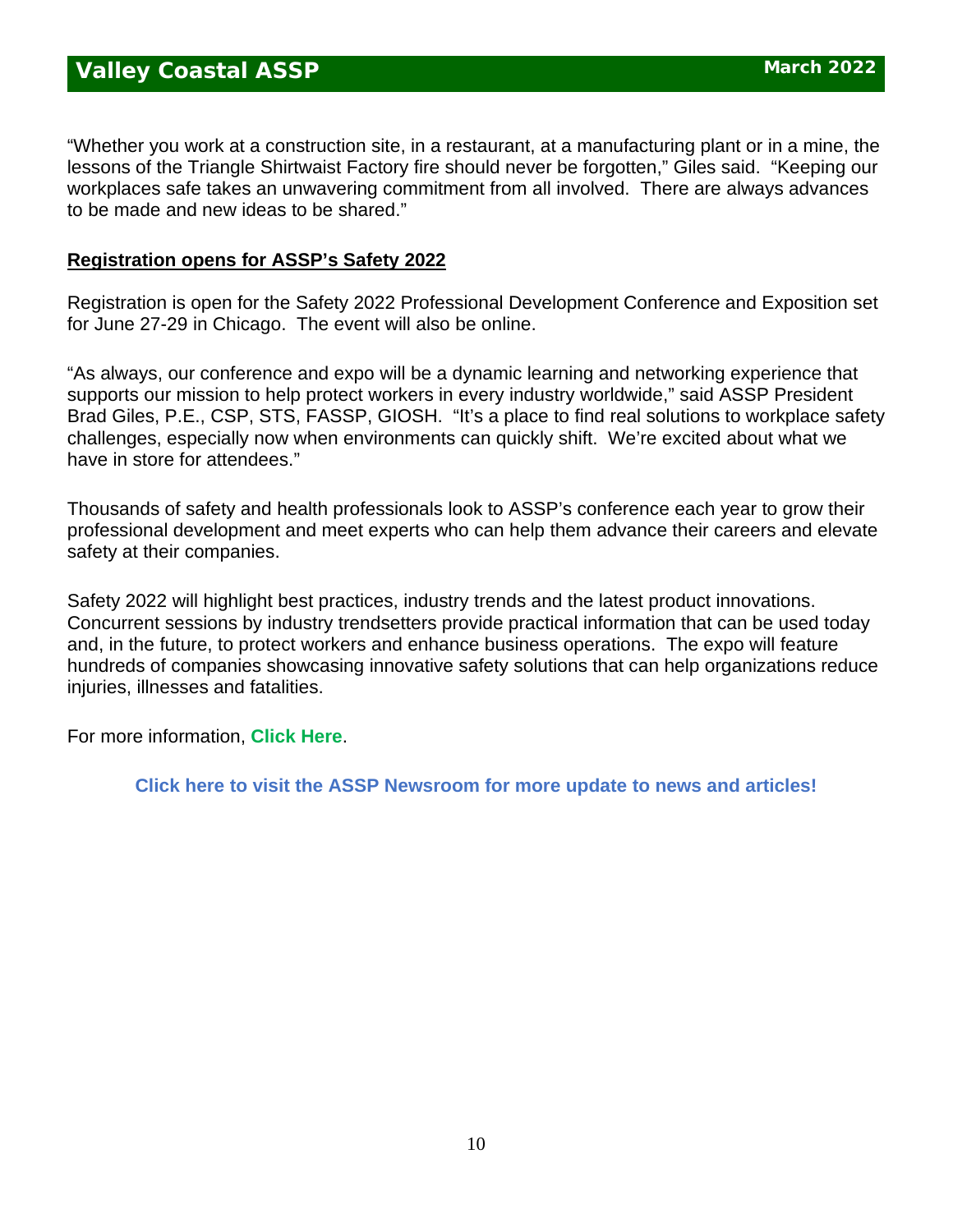"Whether you work at a construction site, in a restaurant, at a manufacturing plant or in a mine, the lessons of the Triangle Shirtwaist Factory fire should never be forgotten," Giles said. "Keeping our workplaces safe takes an unwavering commitment from all involved. There are always advances to be made and new ideas to be shared."

### **Registration opens for ASSP's Safety 2022**

Registration is open for the Safety 2022 Professional Development Conference and Exposition set for June 27-29 in Chicago. The event will also be online.

"As always, our conference and expo will be a dynamic learning and networking experience that supports our mission to help protect workers in every industry worldwide," said ASSP President Brad Giles, P.E., CSP, STS, FASSP, GIOSH. "It's a place to find real solutions to workplace safety challenges, especially now when environments can quickly shift. We're excited about what we have in store for attendees."

Thousands of safety and health professionals look to ASSP's conference each year to grow their professional development and meet experts who can help them advance their careers and elevate safety at their companies.

Safety 2022 will highlight best practices, industry trends and the latest product innovations. Concurrent sessions by industry trendsetters provide practical information that can be used today and, in the future, to protect workers and enhance business operations. The expo will feature hundreds of companies showcasing innovative safety solutions that can help organizations reduce injuries, illnesses and fatalities.

For more information, **[Click Here](https://www.assp.org/news-and-articles/registration-opens-for-assp-s-safety-2022)**.

**[Click here to visit the ASSP Newsroom for more update to news and articles!](https://www.assp.org/news-and-articles/oh-the-places-you-can-go-how-volunteering-improves-your-career)**